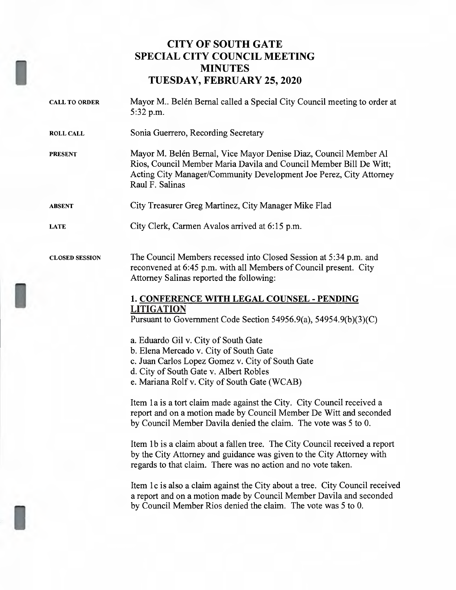# CITY OF SOUTH GATE SPECIAL CITY COUNCIL MEETING MINUTES TUESDAY, FEBRUARY 25, 2020

| <b>CALL TO ORDER</b>  | Mayor M Belén Bernal called a Special City Council meeting to order at<br>5:32 p.m.                                                                                                                                                                                                                                                                                                                                                                                                                                                                                                                                                                                                                                                                                                                                                                                                                                                                                                                                                                                                                                                                                                                                          |
|-----------------------|------------------------------------------------------------------------------------------------------------------------------------------------------------------------------------------------------------------------------------------------------------------------------------------------------------------------------------------------------------------------------------------------------------------------------------------------------------------------------------------------------------------------------------------------------------------------------------------------------------------------------------------------------------------------------------------------------------------------------------------------------------------------------------------------------------------------------------------------------------------------------------------------------------------------------------------------------------------------------------------------------------------------------------------------------------------------------------------------------------------------------------------------------------------------------------------------------------------------------|
| <b>ROLL CALL</b>      | Sonia Guerrero, Recording Secretary                                                                                                                                                                                                                                                                                                                                                                                                                                                                                                                                                                                                                                                                                                                                                                                                                                                                                                                                                                                                                                                                                                                                                                                          |
| <b>PRESENT</b>        | Mayor M. Belén Bernal, Vice Mayor Denise Diaz, Council Member Al<br>Rios, Council Member Maria Davila and Council Member Bill De Witt;<br>Acting City Manager/Community Development Joe Perez, City Attorney<br>Raul F. Salinas                                                                                                                                                                                                                                                                                                                                                                                                                                                                                                                                                                                                                                                                                                                                                                                                                                                                                                                                                                                              |
| <b>ABSENT</b>         | City Treasurer Greg Martinez, City Manager Mike Flad                                                                                                                                                                                                                                                                                                                                                                                                                                                                                                                                                                                                                                                                                                                                                                                                                                                                                                                                                                                                                                                                                                                                                                         |
| <b>LATE</b>           | City Clerk, Carmen Avalos arrived at 6:15 p.m.                                                                                                                                                                                                                                                                                                                                                                                                                                                                                                                                                                                                                                                                                                                                                                                                                                                                                                                                                                                                                                                                                                                                                                               |
| <b>CLOSED SESSION</b> | The Council Members recessed into Closed Session at 5:34 p.m. and<br>reconvened at 6:45 p.m. with all Members of Council present. City<br>Attorney Salinas reported the following:<br>1. CONFERENCE WITH LEGAL COUNSEL - PENDING<br><b>LITIGATION</b><br>Pursuant to Government Code Section 54956.9(a), 54954.9(b)(3)(C)<br>a. Eduardo Gil v. City of South Gate<br>b. Elena Mercado v. City of South Gate<br>c. Juan Carlos Lopez Gomez v. City of South Gate<br>d. City of South Gate v. Albert Robles<br>e. Mariana Rolf v. City of South Gate (WCAB)<br>Item 1a is a tort claim made against the City. City Council received a<br>report and on a motion made by Council Member De Witt and seconded<br>by Council Member Davila denied the claim. The vote was 5 to 0.<br>Item 1b is a claim about a fallen tree. The City Council received a report<br>by the City Attorney and guidance was given to the City Attorney with<br>regards to that claim. There was no action and no vote taken.<br>Item 1c is also a claim against the City about a tree. City Council received<br>a report and on a motion made by Council Member Davila and seconded<br>by Council Member Rios denied the claim. The vote was 5 to 0. |
|                       |                                                                                                                                                                                                                                                                                                                                                                                                                                                                                                                                                                                                                                                                                                                                                                                                                                                                                                                                                                                                                                                                                                                                                                                                                              |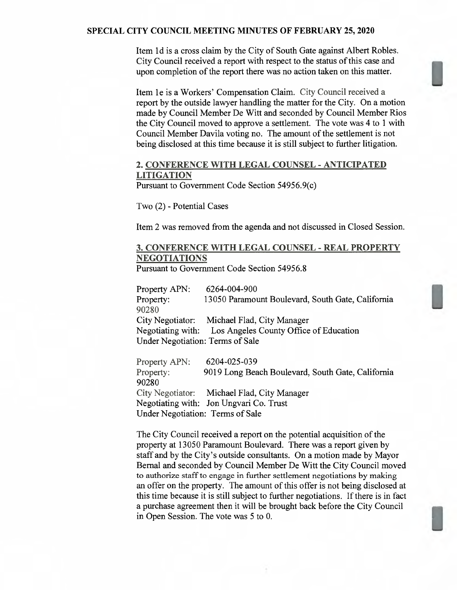#### SPECIAL CITY COUNCIL MEETING MINUTES OF FEBRUARY 25, 2020

Item 1d is <sup>a</sup> cross claim by the City of South Gate against Albert Robles. City Council received a report with respect to the status of this case and upon completion of the report there was no action taken on this matter.

Item 1e is <sup>a</sup> Workers' Compensation Claim. City Council received <sup>a</sup> report by the outside lawyer handling the matter for the City. On <sup>a</sup> motion made by Council Member De Witt and seconded by Council Member Rios the City Council moved to approve <sup>a</sup> settlement. The vote was <sup>4</sup> to <sup>1</sup> with Council Member Davila voting no. The amount of the settlement is not being disclosed at this time because it is still subject to further litigation.

## 2. CONFERENCE WITH LEGAL COUNSEL -ANTICIPATED **LITIGATION**

Pursuant to Government Code Section 54956.9(c)

Two (2) - Potential Cases

Item 2 was removed from the agenda and not discussed in Closed Session.

## 3. CONFERENCE WITH LEGAL COUNSEL -REAL PROPERTY NEGOTIATIONS

Pursuant to Government Code Section 54956.8

Property APN: 6264—004—900 Property: 13050 Paramount Boulevard, South Gate, California 90280 City Negotiator: Michael Flad, City Manager Negotiating with: Los Angeles County Office of Education Under Negotiation: Terms of Sale

Property APN: 6204—025—039 Property: 9019 Long Beach Boulevard, South Gate, California 90280 City Negotiator: Michael Flad, City Manager Negotiating with: Jon Ungvari Co. Trust Under Negotiation: Terms of Sale

The City Council received <sup>a</sup> report on the potential acquisition of the property at 13050 Paramount Boulevard. There was <sup>a</sup> report given by staff and by the City's outside consultants. On <sup>a</sup> motion made by Mayor Bernal and seconded by Council Member De Witt the City Council moved to authorize staff to engage in further settlement negotiations by making an offer on the property. The amount of this offer is not being disclosed at this time because it is still subject to further negotiations. If there is in fact a purchase agreement then it will be brought back before the City Council in Open Session. The vote was 5 to 0.